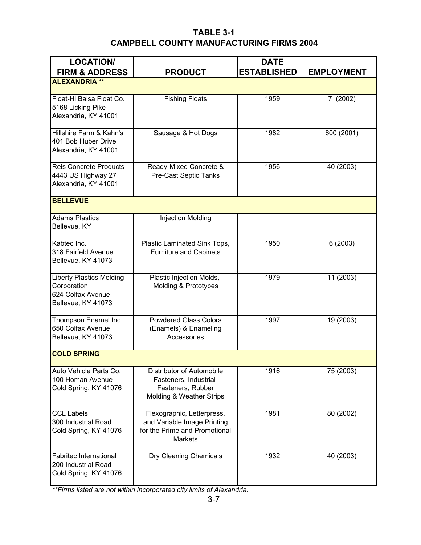## **TABLE 3-1 CAMPBELL COUNTY MANUFACTURING FIRMS 2004**

| <b>LOCATION/</b>                                                                          |                                                                                                              | <b>DATE</b>        |                   |
|-------------------------------------------------------------------------------------------|--------------------------------------------------------------------------------------------------------------|--------------------|-------------------|
| <b>FIRM &amp; ADDRESS</b>                                                                 | <b>PRODUCT</b>                                                                                               | <b>ESTABLISHED</b> | <b>EMPLOYMENT</b> |
| <b>ALEXANDRIA **</b>                                                                      |                                                                                                              |                    |                   |
| Float-Hi Balsa Float Co.<br>5168 Licking Pike<br>Alexandria, KY 41001                     | <b>Fishing Floats</b>                                                                                        | 1959               | 7 (2002)          |
| Hillshire Farm & Kahn's<br>401 Bob Huber Drive<br>Alexandria, KY 41001                    | Sausage & Hot Dogs                                                                                           | 1982               | 600 (2001)        |
| <b>Reis Concrete Products</b><br>4443 US Highway 27<br>Alexandria, KY 41001               | Ready-Mixed Concrete &<br><b>Pre-Cast Septic Tanks</b>                                                       | 1956               | 40 (2003)         |
| <b>BELLEVUE</b>                                                                           |                                                                                                              |                    |                   |
| <b>Adams Plastics</b><br>Bellevue, KY                                                     | <b>Injection Molding</b>                                                                                     |                    |                   |
| Kabtec Inc.<br>318 Fairfeld Avenue<br>Bellevue, KY 41073                                  | Plastic Laminated Sink Tops,<br><b>Furniture and Cabinets</b>                                                | 1950               | 6 (2003)          |
| <b>Liberty Plastics Molding</b><br>Corporation<br>624 Colfax Avenue<br>Bellevue, KY 41073 | Plastic Injection Molds,<br>Molding & Prototypes                                                             | 1979               | 11 (2003)         |
| Thompson Enamel Inc.<br>650 Colfax Avenue<br>Bellevue, KY 41073                           | <b>Powdered Glass Colors</b><br>(Enamels) & Enameling<br>Accessories                                         | 1997               | 19 (2003)         |
| <b>COLD SPRING</b>                                                                        |                                                                                                              |                    |                   |
| Auto Vehicle Parts Co.<br>100 Homan Avenue<br>Cold Spring, KY 41076                       | Distributor of Automobile<br>Fasteners, Industrial<br>Fasteners, Rubber<br>Molding & Weather Strips          | 1916               | 75 (2003)         |
| <b>CCL Labels</b><br>300 Industrial Road<br>Cold Spring, KY 41076                         | Flexographic, Letterpress,<br>and Variable Image Printing<br>for the Prime and Promotional<br><b>Markets</b> | 1981               | 80 (2002)         |
| Fabritec International<br>200 Industrial Road<br>Cold Spring, KY 41076                    | Dry Cleaning Chemicals                                                                                       | 1932               | 40 (2003)         |

*\*\*Firms listed are not within incorporated city limits of Alexandria.*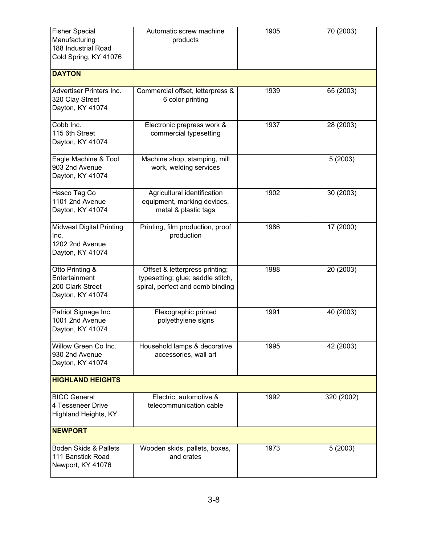| <b>Fisher Special</b>           | Automatic screw machine                     | 1905 | 70 (2003)  |
|---------------------------------|---------------------------------------------|------|------------|
| Manufacturing                   | products                                    |      |            |
| 188 Industrial Road             |                                             |      |            |
| Cold Spring, KY 41076           |                                             |      |            |
|                                 |                                             |      |            |
| <b>DAYTON</b>                   |                                             |      |            |
| Advertiser Printers Inc.        | Commercial offset, letterpress &            | 1939 | 65 (2003)  |
| 320 Clay Street                 | 6 color printing                            |      |            |
| Dayton, KY 41074                |                                             |      |            |
| Cobb Inc.                       | Electronic prepress work &                  | 1937 | 28 (2003)  |
| 115 6th Street                  | commercial typesetting                      |      |            |
| Dayton, KY 41074                |                                             |      |            |
| Eagle Machine & Tool            | Machine shop, stamping, mill                |      | 5(2003)    |
| 903 2nd Avenue                  | work, welding services                      |      |            |
| Dayton, KY 41074                |                                             |      |            |
| Hasco Tag Co                    | Agricultural identification                 | 1902 | 30(2003)   |
| 1101 2nd Avenue                 | equipment, marking devices,                 |      |            |
| Dayton, KY 41074                | metal & plastic tags                        |      |            |
|                                 |                                             |      |            |
| <b>Midwest Digital Printing</b> | Printing, film production, proof            | 1986 | 17(2000)   |
| Inc.                            | production                                  |      |            |
| 1202 2nd Avenue                 |                                             |      |            |
| Dayton, KY 41074                |                                             |      |            |
| Otto Printing &                 | Offset & letterpress printing;              | 1988 | 20 (2003)  |
| Entertainment                   | typesetting; glue; saddle stitch,           |      |            |
| 200 Clark Street                | spiral, perfect and comb binding            |      |            |
| Dayton, KY 41074                |                                             |      |            |
| Patriot Signage Inc.            | Flexographic printed                        | 1991 | 40 (2003)  |
| 1001 2nd Avenue                 | polyethylene signs                          |      |            |
| Dayton, KY 41074                |                                             |      |            |
| Willow Green Co Inc.            | Household lamps & decorative                | 1995 | 42 (2003)  |
| 930 2nd Avenue                  | accessories, wall art                       |      |            |
| Dayton, KY 41074                |                                             |      |            |
| <b>HIGHLAND HEIGHTS</b>         |                                             |      |            |
| <b>BICC General</b>             | Electric, automotive &                      | 1992 | 320 (2002) |
| 4 Tesseneer Drive               | telecommunication cable                     |      |            |
| Highland Heights, KY            |                                             |      |            |
| <b>NEWPORT</b>                  |                                             |      |            |
| Boden Skids & Pallets           |                                             | 1973 |            |
| 111 Banstick Road               | Wooden skids, pallets, boxes,<br>and crates |      | 5(2003)    |
| Newport, KY 41076               |                                             |      |            |
|                                 |                                             |      |            |
|                                 |                                             |      |            |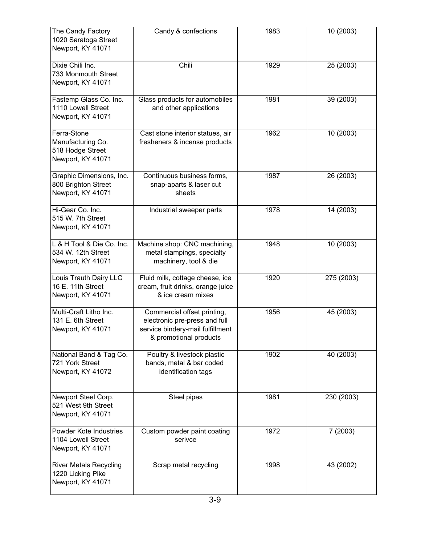| The Candy Factory<br>1020 Saratoga Street<br>Newport, KY 41071            | Candy & confections                                                                                                        | 1983 | 10 (2003)  |
|---------------------------------------------------------------------------|----------------------------------------------------------------------------------------------------------------------------|------|------------|
| Dixie Chili Inc.<br>733 Monmouth Street<br>Newport, KY 41071              | Chili                                                                                                                      | 1929 | 25 (2003)  |
| Fastemp Glass Co. Inc.<br>1110 Lowell Street<br>Newport, KY 41071         | Glass products for automobiles<br>and other applications                                                                   | 1981 | 39 (2003)  |
| Ferra-Stone<br>Manufacturing Co.<br>518 Hodge Street<br>Newport, KY 41071 | Cast stone interior statues, air<br>fresheners & incense products                                                          | 1962 | 10 (2003)  |
| Graphic Dimensions, Inc.<br>800 Brighton Street<br>Newport, KY 41071      | Continuous business forms,<br>snap-aparts & laser cut<br>sheets                                                            | 1987 | 26 (2003)  |
| Hi-Gear Co. Inc.<br>515 W. 7th Street<br>Newport, KY 41071                | Industrial sweeper parts                                                                                                   | 1978 | 14 (2003)  |
| L & H Tool & Die Co. Inc.<br>534 W. 12th Street<br>Newport, KY 41071      | Machine shop: CNC machining,<br>metal stampings, specialty<br>machinery, tool & die                                        | 1948 | 10 (2003)  |
| Louis Trauth Dairy LLC<br>16 E. 11th Street<br>Newport, KY 41071          | Fluid milk, cottage cheese, ice<br>cream, fruit drinks, orange juice<br>& ice cream mixes                                  | 1920 | 275 (2003) |
| Multi-Craft Litho Inc.<br>131 E. 6th Street<br>Newport, KY 41071          | Commercial offset printing,<br>electronic pre-press and full<br>service bindery-mail fulfillment<br>& promotional products | 1956 | 45 (2003)  |
| National Band & Tag Co.<br>721 York Street<br>Newport, KY 41072           | Poultry & livestock plastic<br>bands, metal & bar coded<br>identification tags                                             | 1902 | 40 (2003)  |
| Newport Steel Corp.<br>521 West 9th Street<br>Newport, KY 41071           | Steel pipes                                                                                                                | 1981 | 230 (2003) |
| Powder Kote Industries<br>1104 Lowell Street<br>Newport, KY 41071         | Custom powder paint coating<br>serivce                                                                                     | 1972 | 7 (2003)   |
| <b>River Metals Recycling</b><br>1220 Licking Pike<br>Newport, KY 41071   | Scrap metal recycling                                                                                                      | 1998 | 43 (2002)  |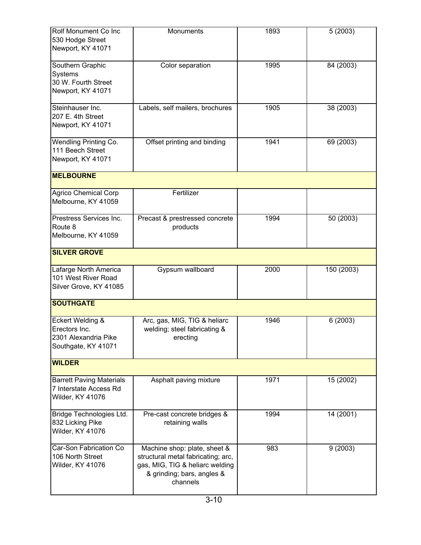| Rolf Monument Co Inc<br>530 Hodge Street<br>Newport, KY 41071                    | Monuments                                                                                                                                       | 1893 | 5(2003)    |
|----------------------------------------------------------------------------------|-------------------------------------------------------------------------------------------------------------------------------------------------|------|------------|
| Southern Graphic<br>Systems<br>30 W. Fourth Street<br>Newport, KY 41071          | Color separation                                                                                                                                | 1995 | 84 (2003)  |
| Steinhauser Inc.<br>207 E. 4th Street<br>Newport, KY 41071                       | Labels, self mailers, brochures                                                                                                                 | 1905 | 38 (2003)  |
| <b>Wendling Printing Co.</b><br>111 Beech Street<br>Newport, KY 41071            | Offset printing and binding                                                                                                                     | 1941 | 69 (2003)  |
| <b>MELBOURNE</b>                                                                 |                                                                                                                                                 |      |            |
| <b>Agrico Chemical Corp</b><br>Melbourne, KY 41059                               | Fertilizer                                                                                                                                      |      |            |
| Prestress Services Inc.<br>Route 8<br>Melbourne, KY 41059                        | Precast & prestressed concrete<br>products                                                                                                      | 1994 | 50 (2003)  |
| <b>SILVER GROVE</b>                                                              |                                                                                                                                                 |      |            |
| Lafarge North America<br>101 West River Road<br>Silver Grove, KY 41085           | Gypsum wallboard                                                                                                                                | 2000 | 150 (2003) |
| <b>SOUTHGATE</b>                                                                 |                                                                                                                                                 |      |            |
| Eckert Welding &<br>Erectors Inc.<br>2301 Alexandria Pike<br>Southgate, KY 41071 | Arc, gas, MIG, TIG & heliarc<br>welding; steel fabricating &<br>erecting                                                                        | 1946 | 6 (2003)   |
| <b>WILDER</b>                                                                    |                                                                                                                                                 |      |            |
| <b>Barrett Paving Materials</b><br>7 Interstate Access Rd<br>Wilder, KY 41076    | Asphalt paving mixture                                                                                                                          | 1971 | 15 (2002)  |
| Bridge Technologies Ltd.<br>832 Licking Pike<br>Wilder, KY 41076                 | Pre-cast concrete bridges &<br>retaining walls                                                                                                  | 1994 | 14 (2001)  |
| Car-Son Fabrication Co<br>106 North Street<br>Wilder, KY 41076                   | Machine shop: plate, sheet &<br>structural metal fabricating; arc,<br>gas, MIG, TIG & heliarc welding<br>& grinding; bars, angles &<br>channels | 983  | 9(2003)    |